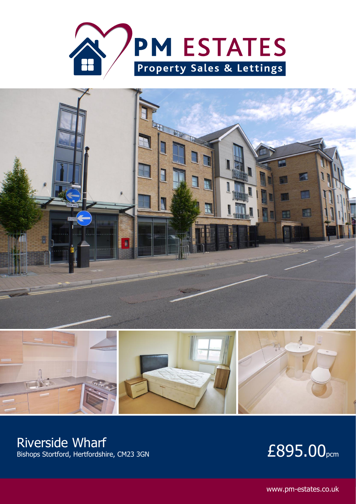



### Riverside Wharf

# $B_{\text{Bikops Stortford, Hertfordshire, CM23 3GN}}$  E895.00<sub>pcm</sub>

www.pm-estates.co.uk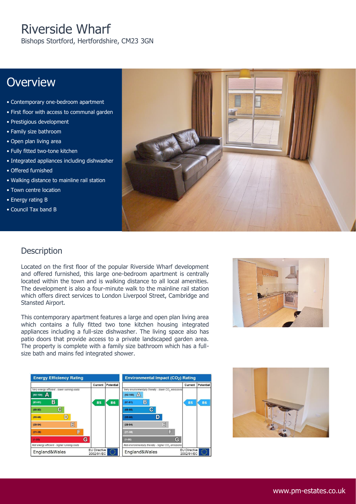## Riverside Wharf

Bishops Stortford, Hertfordshire, CM23 3GN

### **Overview**

- Contemporary one-bedroom apartment
- First floor with access to communal garden
- Prestigious development
- Family size bathroom
- Open plan living area
- Fully fitted two-tone kitchen
- Integrated appliances including dishwasher
- Offered furnished
- Walking distance to mainline rail station
- Town centre location
- Energy rating B
- Council Tax band B



#### **Description**

Located on the first floor of the popular Riverside Wharf development and offered furnished, this large one-bedroom apartment is centrally located within the town and is walking distance to all local amenities. The development is also a four-minute walk to the mainline rail station which offers direct services to London Liverpool Street, Cambridge and Stansted Airport.

This contemporary apartment features a large and open plan living area which contains a fully fitted two tone kitchen housing integrated appliances including a full-size dishwasher. The living space also has patio doors that provide access to a private landscaped garden area. The property is complete with a family size bathroom which has a fullsize bath and mains fed integrated shower.